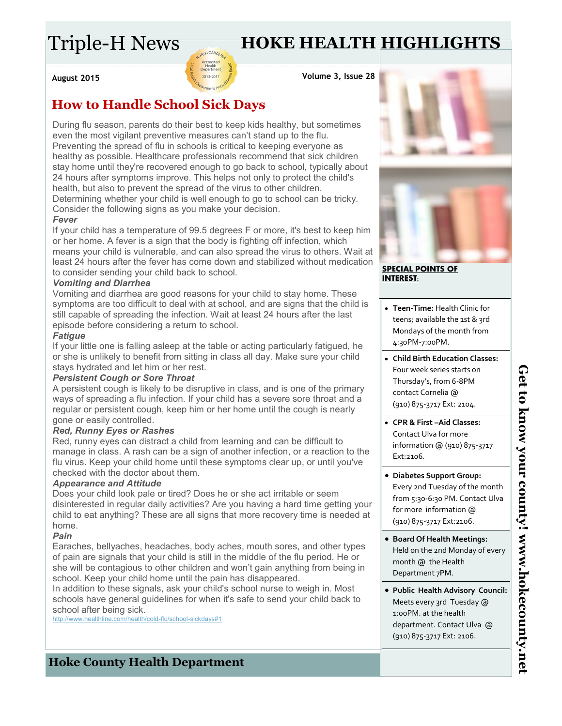# Triple-H News

# **HOKE HEALTH HIGHLIGHTS**

**August 2015**

**Volume 3, Issue 28**

## **How to Handle School Sick Days**

During flu season, parents do their best to keep kids healthy, but sometimes even the most vigilant preventive measures can't stand up to the flu. Preventing the spread of flu in schools is critical to keeping everyone as healthy as possible. Healthcare professionals recommend that sick children stay home until they're recovered enough to go back to school, typically about 24 hours after symptoms improve. This helps not only to protect the child's health, but also to prevent the spread of the virus to other children.

Accredite<br>Health<br>Departme 2013-2017

Determining whether your child is well enough to go to school can be tricky. Consider the following signs as you make your decision.

#### *Fever*

If your child has a temperature of 99.5 degrees F or more, it's best to keep him or her home. A fever is a sign that the body is fighting off infection, which means your child is vulnerable, and can also spread the virus to others. Wait at least 24 hours after the fever has come down and stabilized without medication to consider sending your child back to school.

#### *Vomiting and Diarrhea*

Vomiting and diarrhea are good reasons for your child to stay home. These symptoms are too difficult to deal with at school, and are signs that the child is still capable of spreading the infection. Wait at least 24 hours after the last episode before considering a return to school.

#### *Fatigue*

If your little one is falling asleep at the table or acting particularly fatigued, he or she is unlikely to benefit from sitting in class all day. Make sure your child stays hydrated and let him or her rest.

### *Persistent Cough or Sore Throat*

A persistent cough is likely to be disruptive in class, and is one of the primary ways of spreading a flu infection. If your child has a severe sore throat and a regular or persistent cough, keep him or her home until the cough is nearly gone or easily controlled.

### *Red, Runny Eyes or Rashes*

Red, runny eyes can distract a child from learning and can be difficult to manage in class. A rash can be a sign of another infection, or a reaction to the flu virus. Keep your child home until these symptoms clear up, or until you've checked with the doctor about them.

#### *Appearance and Attitude*

Does your child look pale or tired? Does he or she act irritable or seem disinterested in regular daily activities? Are you having a hard time getting your child to eat anything? These are all signs that more recovery time is needed at home.

### *Pain*

Earaches, bellyaches, headaches, body aches, mouth sores, and other types of pain are signals that your child is still in the middle of the flu period. He or she will be contagious to other children and won't gain anything from being in school. Keep your child home until the pain has disappeared.

In addition to these signals, ask your child's school nurse to weigh in. Most schools have general guidelines for when it's safe to send your child back to school after being sick.<br>http://www.healthline.com/health/

/health/cold-flu/school-sickdays#1





#### **SPECIAL POINTS OF INTEREST:**

- **Teen-Time:** Health Clinic for teens; available the 1st & 3rd Mondays of the month from 4:30PM-7:00PM.
- **Child Birth Education Classes:**  Four week series starts on Thursday's, from 6-8PM contact Cornelia @ (910) 875-3717 Ext: 2104.
- **CPR & First –Aid Classes:**  Contact Ulva for more information @ (910) 875-3717 Ext:2106.
- **Diabetes Support Group:**  Every 2nd Tuesday of the month from 5:30-6:30 PM. Contact Ulva for more information @ (910) 875-3717 Ext:2106.
- **Board Of Health Meetings:**  Held on the 2nd Monday of every month @ the Health Department 7PM.
- **Public Health Advisory Council:**  Meets every 3rd Tuesday @ 1:00PM. at the health department. Contact Ulva @ (910) 875-3717 Ext: 2106.

**Hoke County Health Department**